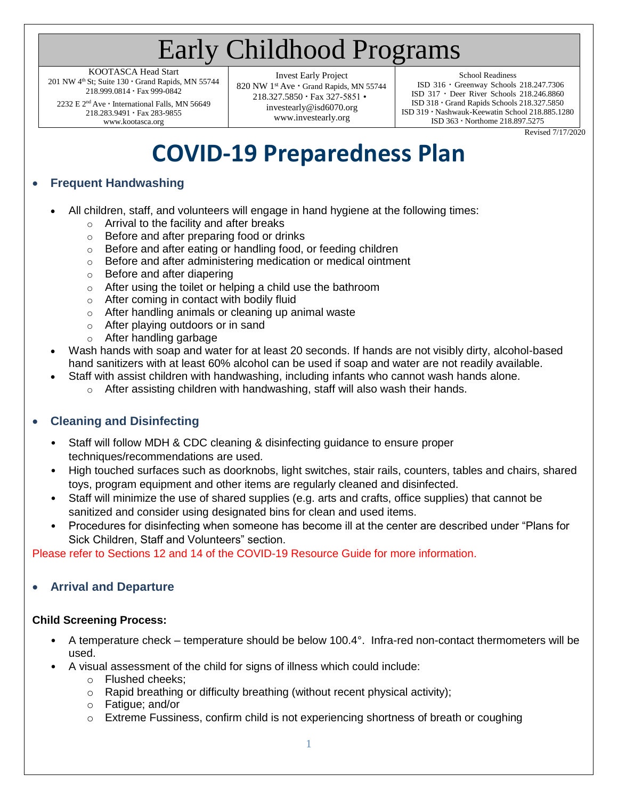# Early Childhood Programs

KOOTASCA Head Start 201 NW 4<sup>th</sup> St; Suite 130 · Grand Rapids, MN 55744 218.999.0814 Fax 999-0842

2232 E 2<sup>nd</sup> Ave · International Falls, MN 56649 218.283.9491 · Fax 283-9855 [www.kootasca.org](http://www.kootasca.org/)

Invest Early Project 820 NW 1st Ave · Grand Rapids, MN 55744 218.327.5850 Fax 327-5851 • [investearly@isd6070.org](mailto:investearly@isd6070.org) [www.investearly.org](http://www.investearly.org/)

School Readiness

ISD 316 Greenway Schools 218.247.7306 ISD 317 Deer River Schools 218.246.8860 ISD 318 Grand Rapids Schools 218.327.5850 ISD 319 Nashwauk-Keewatin School 218.885.1280 ISD 363 Northome 218.897.5275

Revised 7/17/2020

# **COVID-19 Preparedness Plan**

# • **Frequent Handwashing**

- All children, staff, and volunteers will engage in hand hygiene at the following times:
	- o Arrival to the facility and after breaks
	- o Before and after preparing food or drinks
	- o Before and after eating or handling food, or feeding children
	- o Before and after administering medication or medical ointment
	- o Before and after diapering
	- o After using the toilet or helping a child use the bathroom
	- o After coming in contact with bodily fluid
	- o After handling animals or cleaning up animal waste
	- o After playing outdoors or in sand
	- o After handling garbage
- Wash hands with soap and water for at least 20 seconds. If hands are not visibly dirty, alcohol-based hand sanitizers with at least 60% alcohol can be used if soap and water are not readily available.
	- Staff with assist children with handwashing, including infants who cannot wash hands alone.
		- $\circ$  After assisting children with handwashing, staff will also wash their hands.

# • **Cleaning and Disinfecting**

- Staff will follow MDH & CDC cleaning & disinfecting guidance to ensure proper techniques/recommendations are used.
- High touched surfaces such as doorknobs, light switches, stair rails, counters, tables and chairs, shared toys, program equipment and other items are regularly cleaned and disinfected.
- Staff will minimize the use of shared supplies (e.g. arts and crafts, office supplies) that cannot be sanitized and consider using designated bins for clean and used items.
- Procedures for disinfecting when someone has become ill at the center are described under "Plans for Sick Children, Staff and Volunteers" section.

Please refer to Sections 12 and 14 of the COVID-19 Resource Guide for more information.

# • **Arrival and Departure**

# **Child Screening Process:**

- A temperature check temperature should be below 100.4°. Infra-red non-contact thermometers will be used.
- A visual assessment of the child for signs of illness which could include:
	- o Flushed cheeks;
	- $\circ$  Rapid breathing or difficulty breathing (without recent physical activity);
	- o Fatigue; and/or
	- $\circ$  Extreme Fussiness, confirm child is not experiencing shortness of breath or coughing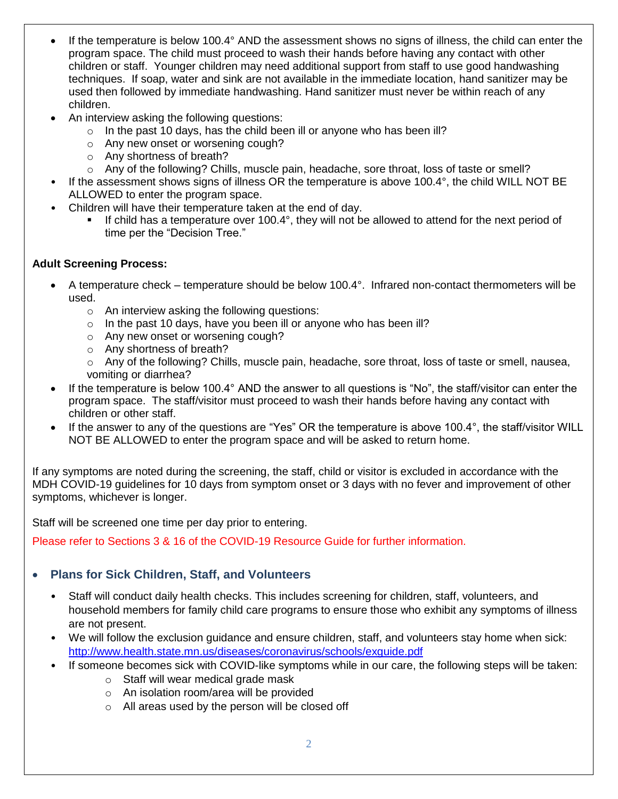- If the temperature is below 100.4° AND the assessment shows no signs of illness, the child can enter the program space. The child must proceed to wash their hands before having any contact with other children or staff. Younger children may need additional support from staff to use good handwashing techniques. If soap, water and sink are not available in the immediate location, hand sanitizer may be used then followed by immediate handwashing. Hand sanitizer must never be within reach of any children.
- An interview asking the following questions:
	- $\circ$  In the past 10 days, has the child been ill or anyone who has been ill?
	- o Any new onset or worsening cough?
	- o Any shortness of breath?
	- o Any of the following? Chills, muscle pain, headache, sore throat, loss of taste or smell?
- If the assessment shows signs of illness OR the temperature is above 100.4°, the child WILL NOT BE ALLOWED to enter the program space.
- Children will have their temperature taken at the end of day.
	- If child has a temperature over 100.4°, they will not be allowed to attend for the next period of time per the "Decision Tree."

#### **Adult Screening Process:**

- A temperature check temperature should be below 100.4°. Infrared non-contact thermometers will be used.
	- o An interview asking the following questions:
	- $\circ$  In the past 10 days, have you been ill or anyone who has been ill?
	- o Any new onset or worsening cough?
	- o Any shortness of breath?
	- o Any of the following? Chills, muscle pain, headache, sore throat, loss of taste or smell, nausea, vomiting or diarrhea?
- If the temperature is below 100.4° AND the answer to all questions is "No", the staff/visitor can enter the program space. The staff/visitor must proceed to wash their hands before having any contact with children or other staff.
- If the answer to any of the questions are "Yes" OR the temperature is above 100.4°, the staff/visitor WILL NOT BE ALLOWED to enter the program space and will be asked to return home.

If any symptoms are noted during the screening, the staff, child or visitor is excluded in accordance with the MDH COVID-19 guidelines for 10 days from symptom onset or 3 days with no fever and improvement of other symptoms, whichever is longer.

Staff will be screened one time per day prior to entering.

Please refer to Sections 3 & 16 of the COVID-19 Resource Guide for further information.

# • **Plans for Sick Children, Staff, and Volunteers**

- Staff will conduct daily health checks. This includes screening for children, staff, volunteers, and household members for family child care programs to ensure those who exhibit any symptoms of illness are not present.
- We will follow the exclusion guidance and ensure children, staff, and volunteers stay home when sick: <http://www.health.state.mn.us/diseases/coronavirus/schools/exguide.pdf>
- If someone becomes sick with COVID-like symptoms while in our care, the following steps will be taken:
	- o Staff will wear medical grade mask
	- o An isolation room/area will be provided
	- o All areas used by the person will be closed off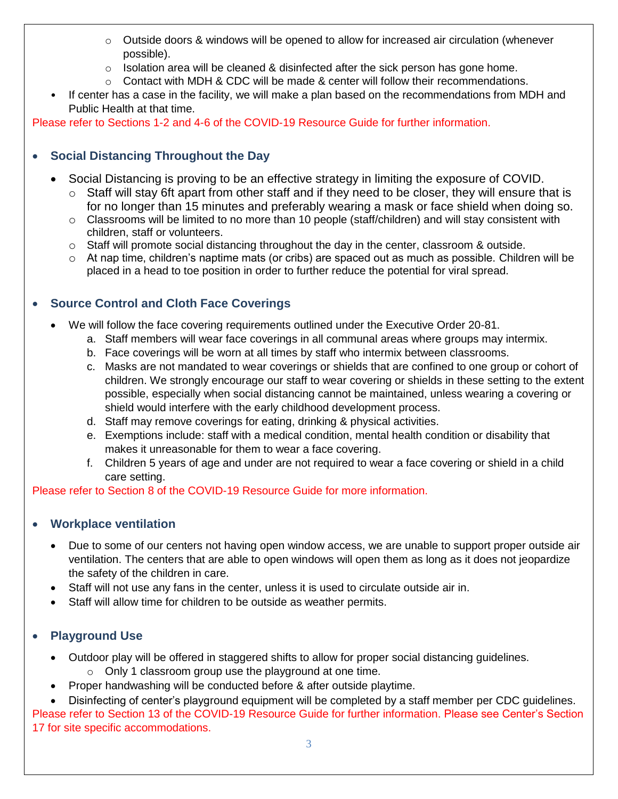- $\circ$  Outside doors & windows will be opened to allow for increased air circulation (whenever possible).
- $\circ$  Isolation area will be cleaned & disinfected after the sick person has gone home.
- $\circ$  Contact with MDH & CDC will be made & center will follow their recommendations.
- If center has a case in the facility, we will make a plan based on the recommendations from MDH and Public Health at that time.

Please refer to Sections 1-2 and 4-6 of the COVID-19 Resource Guide for further information.

# • **Social Distancing Throughout the Day**

- Social Distancing is proving to be an effective strategy in limiting the exposure of COVID.
	- $\circ$  Staff will stay 6ft apart from other staff and if they need to be closer, they will ensure that is for no longer than 15 minutes and preferably wearing a mask or face shield when doing so.
	- $\circ$  Classrooms will be limited to no more than 10 people (staff/children) and will stay consistent with children, staff or volunteers.
	- $\circ$  Staff will promote social distancing throughout the day in the center, classroom & outside.
	- $\circ$  At nap time, children's naptime mats (or cribs) are spaced out as much as possible. Children will be placed in a head to toe position in order to further reduce the potential for viral spread.

# • **Source Control and Cloth Face Coverings**

- We will follow the face covering requirements outlined under the Executive Order 20-81.
	- a. Staff members will wear face coverings in all communal areas where groups may intermix.
	- b. Face coverings will be worn at all times by staff who intermix between classrooms.
	- c. Masks are not mandated to wear coverings or shields that are confined to one group or cohort of children. We strongly encourage our staff to wear covering or shields in these setting to the extent possible, especially when social distancing cannot be maintained, unless wearing a covering or shield would interfere with the early childhood development process.
	- d. Staff may remove coverings for eating, drinking & physical activities.
	- e. Exemptions include: staff with a medical condition, mental health condition or disability that makes it unreasonable for them to wear a face covering.
	- f. Children 5 years of age and under are not required to wear a face covering or shield in a child care setting.

# Please refer to Section 8 of the COVID-19 Resource Guide for more information.

# • **Workplace ventilation**

- Due to some of our centers not having open window access, we are unable to support proper outside air ventilation. The centers that are able to open windows will open them as long as it does not jeopardize the safety of the children in care.
- Staff will not use any fans in the center, unless it is used to circulate outside air in.
- Staff will allow time for children to be outside as weather permits.

# • **Playground Use**

- Outdoor play will be offered in staggered shifts to allow for proper social distancing guidelines.
	- o Only 1 classroom group use the playground at one time.
- Proper handwashing will be conducted before & after outside playtime.

• Disinfecting of center's playground equipment will be completed by a staff member per CDC guidelines.

Please refer to Section 13 of the COVID-19 Resource Guide for further information. Please see Center's Section 17 for site specific accommodations.